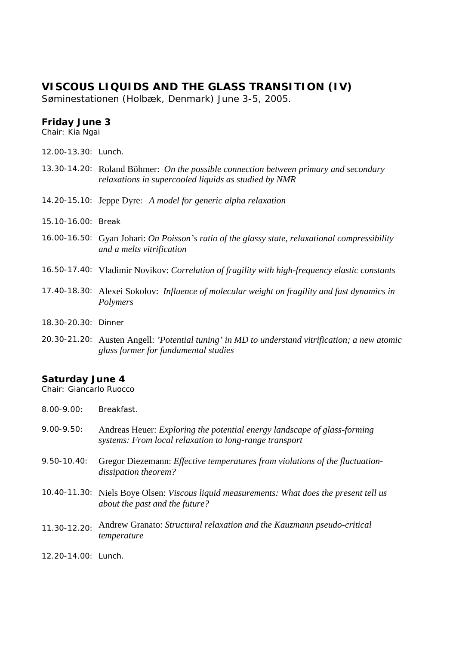## **VISCOUS LIQUIDS AND THE GLASS TRANSITION (IV)**

Søminestationen (Holbæk, Denmark) June 3-5, 2005.

## **Friday June 3**

*Chair: Kia Ngai*

- 12.00-13.30: Lunch.
- 13.30-14.20: Roland Böhmer: *On the possible connection between primary and secondary relaxations in supercooled liquids as studied by NMR*
- 14.20-15.10: Jeppe Dyre: *A model for generic alpha relaxation*
- 15.10-16.00: Break
- 16.00-16.50: Gyan Johari: *On Poisson's ratio of the glassy state, relaxational compressibility and a melts vitrification*
- 16.50-17.40: Vladimir Novikov: *Correlation of fragility with high-frequency elastic constants*
- 17.40-18.30: Alexei Sokolov: *Influence of molecular weight on fragility and fast dynamics in Polymers*
- 18.30-20.30: Dinner
- 20.30-21.20: Austen Angell: *'Potential tuning' in MD to understand vitrification; a new atomic glass former for fundamental studies*

## **Saturday June 4**

*Chair: Giancarlo Ruocco* 

8.00-9.00: Breakfast.

- 9.00-9.50: Andreas Heuer: *Exploring the potential energy landscape of glass-forming systems: From local relaxation to long-range transport*
- 9.50-10.40: Gregor Diezemann: *Effective temperatures from violations of the fluctuationdissipation theorem?*
- 10.40-11.30: Niels Boye Olsen: *Viscous liquid measurements: What does the present tell us about the past and the future?*
- 11.30-12.20: Andrew Granato: *Structural relaxation and the Kauzmann pseudo-critical temperature*
- 12.20-14.00: Lunch.